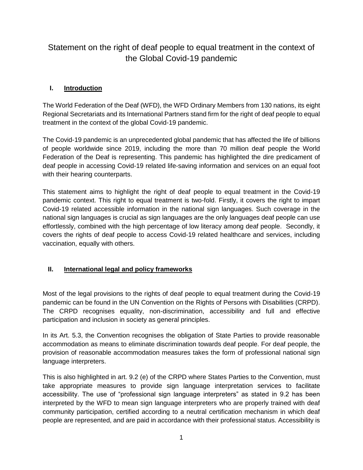# Statement on the right of deaf people to equal treatment in the context of the Global Covid-19 pandemic

## **I. Introduction**

The World Federation of the Deaf (WFD), the WFD Ordinary Members from 130 nations, its eight Regional Secretariats and its International Partners stand firm for the right of deaf people to equal treatment in the context of the global Covid-19 pandemic.

The Covid-19 pandemic is an unprecedented global pandemic that has affected the life of billions of people worldwide since 2019, including the more than 70 million deaf people the World Federation of the Deaf is representing. This pandemic has highlighted the dire predicament of deaf people in accessing Covid-19 related life-saving information and services on an equal foot with their hearing counterparts.

This statement aims to highlight the right of deaf people to equal treatment in the Covid-19 pandemic context. This right to equal treatment is two-fold. Firstly, it covers the right to impart Covid-19 related accessible information in the national sign languages. Such coverage in the national sign languages is crucial as sign languages are the only languages deaf people can use effortlessly, combined with the high percentage of low literacy among deaf people. Secondly, it covers the rights of deaf people to access Covid-19 related healthcare and services, including vaccination, equally with others.

#### **II. International legal and policy frameworks**

Most of the legal provisions to the rights of deaf people to equal treatment during the Covid-19 pandemic can be found in the UN Convention on the Rights of Persons with Disabilities (CRPD). The CRPD recognises equality, non-discrimination, accessibility and full and effective participation and inclusion in society as general principles.

In its Art. 5.3, the Convention recognises the obligation of State Parties to provide reasonable accommodation as means to eliminate discrimination towards deaf people. For deaf people, the provision of reasonable accommodation measures takes the form of professional national sign language interpreters.

This is also highlighted in art. 9.2 (e) of the CRPD where States Parties to the Convention, must take appropriate measures to provide sign language interpretation services to facilitate accessibility. The use of "professional sign language interpreters" as stated in 9.2 has been interpreted by the WFD to mean sign language interpreters who are properly trained with deaf community participation, certified according to a neutral certification mechanism in which deaf people are represented, and are paid in accordance with their professional status. Accessibility is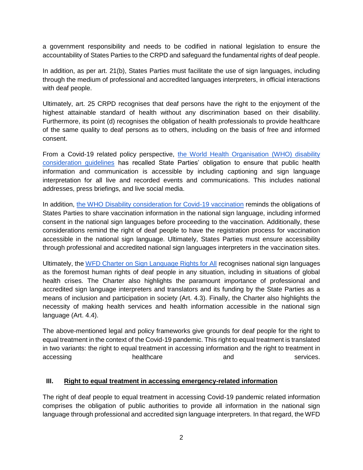a government responsibility and needs to be codified in national legislation to ensure the accountability of States Parties to the CRPD and safeguard the fundamental rights of deaf people.

In addition, as per art. 21(b), States Parties must facilitate the use of sign languages, including through the medium of professional and accredited languages interpreters, in official interactions with deaf people.

Ultimately, art. 25 CRPD recognises that deaf persons have the right to the enjoyment of the highest attainable standard of health without any discrimination based on their disability. Furthermore, its point (d) recognises the obligation of health professionals to provide healthcare of the same quality to deaf persons as to others, including on the basis of free and informed consent.

From a Covid-19 related policy perspective, [the World Health Organisation \(WHO\) disability](https://www.who.int/publications/i/item/WHO-2019-nCoV-Disability-2020-1)  [consideration guidelines](https://www.who.int/publications/i/item/WHO-2019-nCoV-Disability-2020-1) has recalled State Parties' obligation to ensure that public health information and communication is accessible by including captioning and sign language interpretation for all live and recorded events and communications. This includes national addresses, press briefings, and live social media.

In addition, [the WHO Disability consideration for Covid-19 vaccination](https://www.who.int/publications/i/item/who-2019-ncov-vaccination-and-disability-policy-brief-2021.1) reminds the obligations of States Parties to share vaccination information in the national sign language, including informed consent in the national sign languages before proceeding to the vaccination. Additionally, these considerations remind the right of deaf people to have the registration process for vaccination accessible in the national sign language. Ultimately, States Parties must ensure accessibility through professional and accredited national sign languages interpreters in the vaccination sites.

Ultimately, the [WFD Charter on Sign Language Rights for All](https://wfdeaf.org/charter/) recognises national sign languages as the foremost human rights of deaf people in any situation, including in situations of global health crises. The Charter also highlights the paramount importance of professional and accredited sign language interpreters and translators and its funding by the State Parties as a means of inclusion and participation in society (Art. 4.3). Finally, the Charter also highlights the necessity of making health services and health information accessible in the national sign language (Art. 4.4).

The above-mentioned legal and policy frameworks give grounds for deaf people for the right to equal treatment in the context of the Covid-19 pandemic. This right to equal treatment is translated in two variants: the right to equal treatment in accessing information and the right to treatment in accessing and healthcare and services.

#### **III. Right to equal treatment in accessing emergency-related information**

The right of deaf people to equal treatment in accessing Covid-19 pandemic related information comprises the obligation of public authorities to provide all information in the national sign language through professional and accredited sign language interpreters. In that regard, the WFD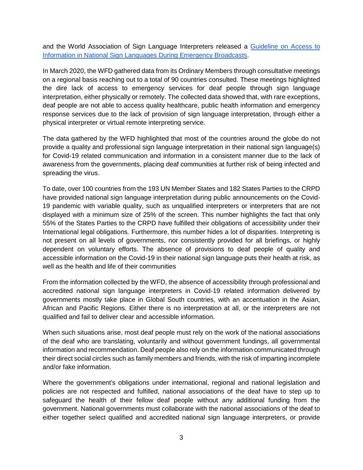and the World Association of Sign Language Interpreters released a [Guideline on Access to](https://wfdeaf.org/news/resources/guidelines-on-providing-access-to-public-health-information/)  [Information in National Sign Languages During Emergency Broadcasts.](https://wfdeaf.org/news/resources/guidelines-on-providing-access-to-public-health-information/)

In March 2020, the WFD gathered data from its Ordinary Members through consultative meetings on a regional basis reaching out to a total of 90 countries consulted. These meetings highlighted the dire lack of access to emergency services for deaf people through sign language interpretation, either physically or remotely. The collected data showed that, with rare exceptions, deaf people are not able to access quality healthcare, public health information and emergency response services due to the lack of provision of sign language interpretation, through either a physical interpreter or virtual remote interpreting service.

The data gathered by the WFD highlighted that most of the countries around the globe do not provide a quality and professional sign language interpretation in their national sign language(s) for Covid-19 related communication and information in a consistent manner due to the lack of awareness from the governments, placing deaf communities at further risk of being infected and spreading the virus.

To date, over 100 countries from the 193 UN Member States and 182 States Parties to the CRPD have provided national sign language interpretation during public announcements on the Covid-19 pandemic with variable quality, such as unqualified interpreters or interpreters that are not displayed with a minimum size of 25% of the screen. This number highlights the fact that only 55% of the States Parties to the CRPD have fulfilled their obligations of accessibility under their International legal obligations. Furthermore, this number hides a lot of disparities. Interpreting is not present on all levels of governments, nor consistently provided for all briefings, or highly dependent on voluntary efforts. The absence of provisions to deaf people of quality and accessible information on the Covid-19 in their national sign language puts their health at risk, as well as the health and life of their communities

From the information collected by the WFD, the absence of accessibility through professional and accredited national sign language interpreters in Covid-19 related information delivered by governments mostly take place in Global South countries, with an accentuation in the Asian, African and Pacific Regions. Either there is no interpretation at all, or the interpreters are not qualified and fail to deliver clear and accessible information.

When such situations arise, most deaf people must rely on the work of the national associations of the deaf who are translating, voluntarily and without government fundings, all governmental information and recommendation. Deaf people also rely on the information communicated through their direct social circles such as family members and friends, with the risk of imparting incomplete and/or fake information.

Where the government's obligations under international, regional and national legislation and policies are not respected and fulfilled, national associations of the deaf have to step up to safeguard the health of their fellow deaf people without any additional funding from the government. National governments must collaborate with the national associations of the deaf to either together select qualified and accredited national sign language interpreters, or provide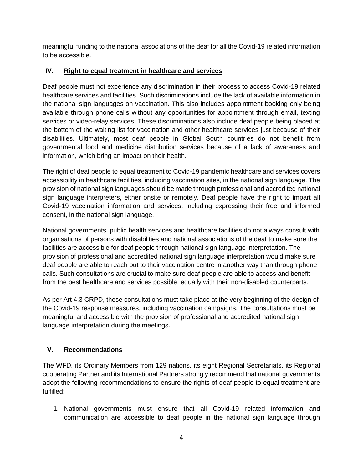meaningful funding to the national associations of the deaf for all the Covid-19 related information to be accessible.

## **IV. Right to equal treatment in healthcare and services**

Deaf people must not experience any discrimination in their process to access Covid-19 related healthcare services and facilities. Such discriminations include the lack of available information in the national sign languages on vaccination. This also includes appointment booking only being available through phone calls without any opportunities for appointment through email, texting services or video-relay services. These discriminations also include deaf people being placed at the bottom of the waiting list for vaccination and other healthcare services just because of their disabilities. Ultimately, most deaf people in Global South countries do not benefit from governmental food and medicine distribution services because of a lack of awareness and information, which bring an impact on their health.

The right of deaf people to equal treatment to Covid-19 pandemic healthcare and services covers accessibility in healthcare facilities, including vaccination sites, in the national sign language. The provision of national sign languages should be made through professional and accredited national sign language interpreters, either onsite or remotely. Deaf people have the right to impart all Covid-19 vaccination information and services, including expressing their free and informed consent, in the national sign language.

National governments, public health services and healthcare facilities do not always consult with organisations of persons with disabilities and national associations of the deaf to make sure the facilities are accessible for deaf people through national sign language interpretation. The provision of professional and accredited national sign language interpretation would make sure deaf people are able to reach out to their vaccination centre in another way than through phone calls. Such consultations are crucial to make sure deaf people are able to access and benefit from the best healthcare and services possible, equally with their non-disabled counterparts.

As per Art 4.3 CRPD, these consultations must take place at the very beginning of the design of the Covid-19 response measures, including vaccination campaigns. The consultations must be meaningful and accessible with the provision of professional and accredited national sign language interpretation during the meetings.

## **V. Recommendations**

The WFD, its Ordinary Members from 129 nations, its eight Regional Secretariats, its Regional cooperating Partner and its International Partners strongly recommend that national governments adopt the following recommendations to ensure the rights of deaf people to equal treatment are fulfilled:

1. National governments must ensure that all Covid-19 related information and communication are accessible to deaf people in the national sign language through